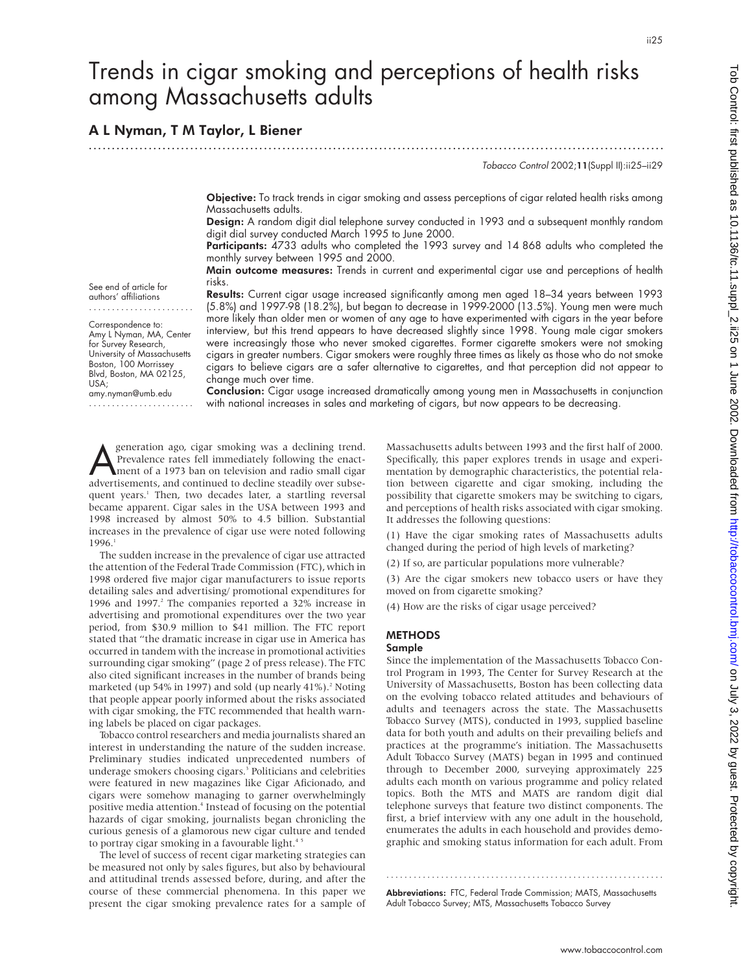# Trends in cigar smoking and perceptions of health risks among Massachusetts adults

.............................................................................................................................

# A L Nyman, T M Taylor, L Biener

Tobacco Control 2002;11(Suppl II):ii25–ii29

Objective: To track trends in cigar smoking and assess perceptions of cigar related health risks among Massachusetts adults.

Design: A random digit dial telephone survey conducted in 1993 and a subsequent monthly random digit dial survey conducted March 1995 to June 2000.

Participants: 4733 adults who completed the 1993 survey and 14 868 adults who completed the monthly survey between 1995 and 2000.

Main outcome measures: Trends in current and experimental cigar use and perceptions of health risks.

See end of article for authors' affiliations .......................

Correspondence to: Amy L Nyman, MA, Center for Survey Research, University of Massachusetts Boston, 100 Morrissey Blvd, Boston, MA 02125, USA; amy.nyman@umb.edu

.......................

Results: Current cigar usage increased significantly among men aged 18–34 years between 1993 (5.8%) and 1997-98 (18.2%), but began to decrease in 1999-2000 (13.5%). Young men were much more likely than older men or women of any age to have experimented with cigars in the year before interview, but this trend appears to have decreased slightly since 1998. Young male cigar smokers were increasingly those who never smoked cigarettes. Former cigarette smokers were not smoking cigars in greater numbers. Cigar smokers were roughly three times as likely as those who do not smoke cigars to believe cigars are a safer alternative to cigarettes, and that perception did not appear to change much over time.

Conclusion: Cigar usage increased dramatically among young men in Massachusetts in conjunction with national increases in sales and marketing of cigars, but now appears to be decreasing.

Superation ago, cigar smoking was a declining trend.<br>The Prevalence rates fell immediately following the enact-<br>ment of a 1973 ban on television and radio small cigar<br>advertisements and continued to decline steadily over s Prevalence rates fell immediately following the enactadvertisements, and continued to decline steadily over subsequent years.<sup>1</sup> Then, two decades later, a startling reversal became apparent. Cigar sales in the USA between 1993 and 1998 increased by almost 50% to 4.5 billion. Substantial increases in the prevalence of cigar use were noted following 1996.<sup>1</sup>

The sudden increase in the prevalence of cigar use attracted the attention of the Federal Trade Commission (FTC), which in 1998 ordered five major cigar manufacturers to issue reports detailing sales and advertising/ promotional expenditures for 1996 and 1997.<sup>2</sup> The companies reported a 32% increase in advertising and promotional expenditures over the two year period, from \$30.9 million to \$41 million. The FTC report stated that "the dramatic increase in cigar use in America has occurred in tandem with the increase in promotional activities surrounding cigar smoking" (page 2 of press release). The FTC also cited significant increases in the number of brands being marketed (up 54% in 1997) and sold (up nearly 41%).<sup>2</sup> Noting that people appear poorly informed about the risks associated with cigar smoking, the FTC recommended that health warning labels be placed on cigar packages.

Tobacco control researchers and media journalists shared an interest in understanding the nature of the sudden increase. Preliminary studies indicated unprecedented numbers of underage smokers choosing cigars.<sup>3</sup> Politicians and celebrities were featured in new magazines like Cigar Aficionado, and cigars were somehow managing to garner overwhelmingly positive media attention.4 Instead of focusing on the potential hazards of cigar smoking, journalists began chronicling the curious genesis of a glamorous new cigar culture and tended to portray cigar smoking in a favourable light.<sup>4</sup>

The level of success of recent cigar marketing strategies can be measured not only by sales figures, but also by behavioural and attitudinal trends assessed before, during, and after the course of these commercial phenomena. In this paper we present the cigar smoking prevalence rates for a sample of Massachusetts adults between 1993 and the first half of 2000. Specifically, this paper explores trends in usage and experimentation by demographic characteristics, the potential relation between cigarette and cigar smoking, including the possibility that cigarette smokers may be switching to cigars, and perceptions of health risks associated with cigar smoking. It addresses the following questions:

(1) Have the cigar smoking rates of Massachusetts adults changed during the period of high levels of marketing?

(2) If so, are particular populations more vulnerable?

(3) Are the cigar smokers new tobacco users or have they moved on from cigarette smoking?

(4) How are the risks of cigar usage perceived?

# **METHODS**

## Sample

Since the implementation of the Massachusetts Tobacco Control Program in 1993, The Center for Survey Research at the University of Massachusetts, Boston has been collecting data on the evolving tobacco related attitudes and behaviours of adults and teenagers across the state. The Massachusetts Tobacco Survey (MTS), conducted in 1993, supplied baseline data for both youth and adults on their prevailing beliefs and practices at the programme's initiation. The Massachusetts Adult Tobacco Survey (MATS) began in 1995 and continued through to December 2000, surveying approximately 225 adults each month on various programme and policy related topics. Both the MTS and MATS are random digit dial telephone surveys that feature two distinct components. The first, a brief interview with any one adult in the household, enumerates the adults in each household and provides demographic and smoking status information for each adult. From

Abbreviations: FTC, Federal Trade Commission; MATS, Massachusetts Adult Tobacco Survey; MTS, Massachusetts Tobacco Survey

.............................................................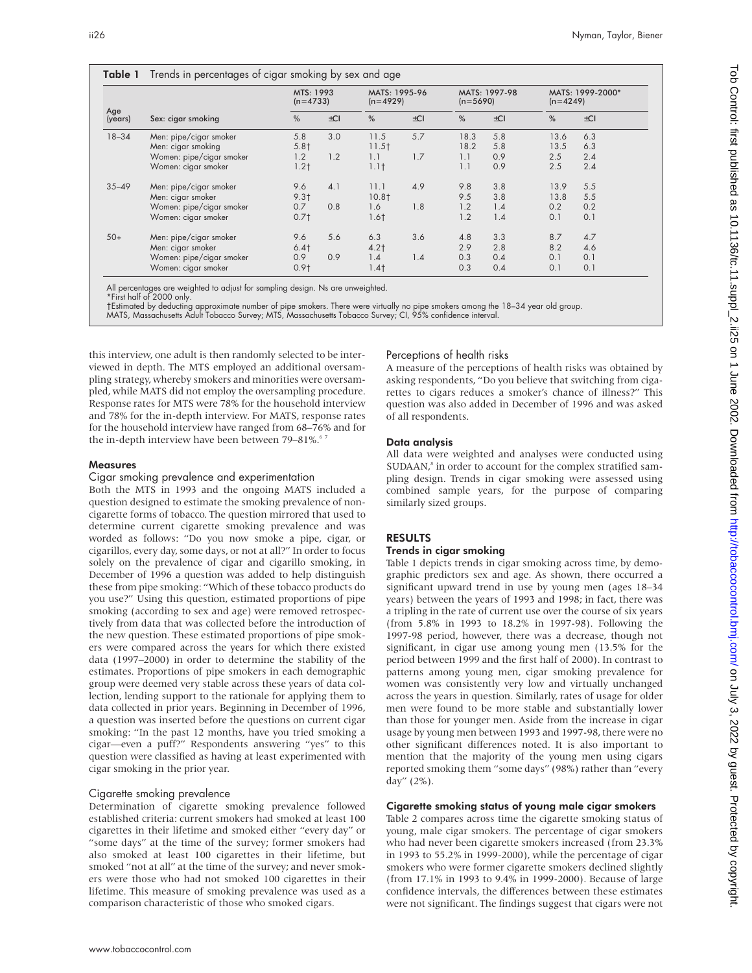| Age<br>(years) | Sex: cigar smoking       | MTS: 1993<br>$(n=4733)$ |          | MATS: 1995-96<br>$(n=4929)$ |          | MATS: 1997-98<br>$(n=5690)$ |          | MATS: 1999-2000*<br>$(n=4249)$ |          |
|----------------|--------------------------|-------------------------|----------|-----------------------------|----------|-----------------------------|----------|--------------------------------|----------|
|                |                          | %                       | $\pm$ CI | %                           | $\pm$ CI | %                           | $\pm$ CI | %                              | $\pm$ CI |
| $18 - 34$      | Men: pipe/cigar smoker   | 5.8                     | 3.0      | 11.5                        | 5.7      | 18.3                        | 5.8      | 13.6                           | 6.3      |
|                | Men: cigar smoking       | 5.8†                    |          | 11.5 <sub>†</sub>           |          | 18.2                        | 5.8      | 13.5                           | 6.3      |
|                | Women: pipe/cigar smoker | 1.2                     | 1.2      | 1.1                         | 1.7      | 1.1                         | 0.9      | 2.5                            | 2.4      |
|                | Women: cigar smoker      | 1.2 <sub>1</sub>        |          | 1.1 <sub>†</sub>            |          | 1.1                         | 0.9      | 2.5                            | 2.4      |
| $35 - 49$      | Men: pipe/cigar smoker   | 9.6                     | 4.1      | 11.1                        | 4.9      | 9.8                         | 3.8      | 13.9                           | 5.5      |
|                | Men: cigar smoker        | 9.3 <sub>1</sub>        |          | 10.8 <sub>†</sub>           |          | 9.5                         | 3.8      | 13.8                           | 5.5      |
|                | Women: pipe/cigar smoker | 0.7                     | 0.8      | 1.6                         | 1.8      | 1.2                         | 1.4      | 0.2                            | 0.2      |
|                | Women: cigar smoker      | 0.71                    |          | 1.6 <sub>†</sub>            |          | 1.2                         | 1.4      | 0.1                            | 0.1      |
| $50+$          | Men: pipe/cigar smoker   | 9.6                     | 5.6      | 6.3                         | 3.6      | 4.8                         | 3.3      | 8.7                            | 4.7      |
|                | Men: cigar smoker        | $6.4$ †                 |          | $4.2+$                      |          | 2.9                         | 2.8      | 8.2                            | 4.6      |
|                | Women: pipe/cigar smoker | 0.9                     | 0.9      | 1.4                         | 1.4      | 0.3                         | 0.4      | 0.1                            | 0.1      |
|                | Women: cigar smoker      | 0.91                    |          | 1.4 <sub>1</sub>            |          | 0.3                         | 0.4      | 0.1                            | 0.1      |

All percentages are weighted to adjust for sampling design. Ns are unweighted.

Table 1 Trends in percentages of cigar smoking by sex and age

†Estimated by deducting approximate number of pipe smokers. There were virtually no pipe smokers among the 18–34 year old group.<br>MATS, Massachusetts Adult Tobacco Survey; MTS, Massachusetts Tobacco Survey; CI, 95% confiden

this interview, one adult is then randomly selected to be interviewed in depth. The MTS employed an additional oversampling strategy, whereby smokers and minorities were oversampled, while MATS did not employ the oversampling procedure. Response rates for MTS were 78% for the household interview and 78% for the in-depth interview. For MATS, response rates for the household interview have ranged from 68–76% and for the in-depth interview have been between 79–81%.<sup>67</sup>

#### Measures

#### Cigar smoking prevalence and experimentation

Both the MTS in 1993 and the ongoing MATS included a question designed to estimate the smoking prevalence of noncigarette forms of tobacco. The question mirrored that used to determine current cigarette smoking prevalence and was worded as follows: "Do you now smoke a pipe, cigar, or cigarillos, every day, some days, or not at all?" In order to focus solely on the prevalence of cigar and cigarillo smoking, in December of 1996 a question was added to help distinguish these from pipe smoking: "Which of these tobacco products do you use?" Using this question, estimated proportions of pipe smoking (according to sex and age) were removed retrospectively from data that was collected before the introduction of the new question. These estimated proportions of pipe smokers were compared across the years for which there existed data (1997–2000) in order to determine the stability of the estimates. Proportions of pipe smokers in each demographic group were deemed very stable across these years of data collection, lending support to the rationale for applying them to data collected in prior years. Beginning in December of 1996, a question was inserted before the questions on current cigar smoking: "In the past 12 months, have you tried smoking a cigar—even a puff?" Respondents answering "yes" to this question were classified as having at least experimented with cigar smoking in the prior year.

#### Cigarette smoking prevalence

Determination of cigarette smoking prevalence followed established criteria: current smokers had smoked at least 100 cigarettes in their lifetime and smoked either "every day" or "some days" at the time of the survey; former smokers had also smoked at least 100 cigarettes in their lifetime, but smoked "not at all" at the time of the survey; and never smokers were those who had not smoked 100 cigarettes in their lifetime. This measure of smoking prevalence was used as a comparison characteristic of those who smoked cigars.

#### Perceptions of health risks

A measure of the perceptions of health risks was obtained by asking respondents, "Do you believe that switching from cigarettes to cigars reduces a smoker's chance of illness?" This question was also added in December of 1996 and was asked of all respondents.

#### Data analysis

All data were weighted and analyses were conducted using SUDAAN,<sup>8</sup> in order to account for the complex stratified sampling design. Trends in cigar smoking were assessed using combined sample years, for the purpose of comparing similarly sized groups.

#### RESULTS

#### Trends in cigar smoking

Table 1 depicts trends in cigar smoking across time, by demographic predictors sex and age. As shown, there occurred a significant upward trend in use by young men (ages 18–34 years) between the years of 1993 and 1998; in fact, there was a tripling in the rate of current use over the course of six years (from 5.8% in 1993 to 18.2% in 1997-98). Following the 1997-98 period, however, there was a decrease, though not significant, in cigar use among young men (13.5% for the period between 1999 and the first half of 2000). In contrast to patterns among young men, cigar smoking prevalence for women was consistently very low and virtually unchanged across the years in question. Similarly, rates of usage for older men were found to be more stable and substantially lower than those for younger men. Aside from the increase in cigar usage by young men between 1993 and 1997-98, there were no other significant differences noted. It is also important to mention that the majority of the young men using cigars reported smoking them "some days" (98%) rather than "every day" (2%).

#### Cigarette smoking status of young male cigar smokers

Table 2 compares across time the cigarette smoking status of young, male cigar smokers. The percentage of cigar smokers who had never been cigarette smokers increased (from 23.3% in 1993 to 55.2% in 1999-2000), while the percentage of cigar smokers who were former cigarette smokers declined slightly (from 17.1% in 1993 to 9.4% in 1999-2000). Because of large confidence intervals, the differences between these estimates were not significant. The findings suggest that cigars were not

<sup>\*</sup>First half of 2000 only.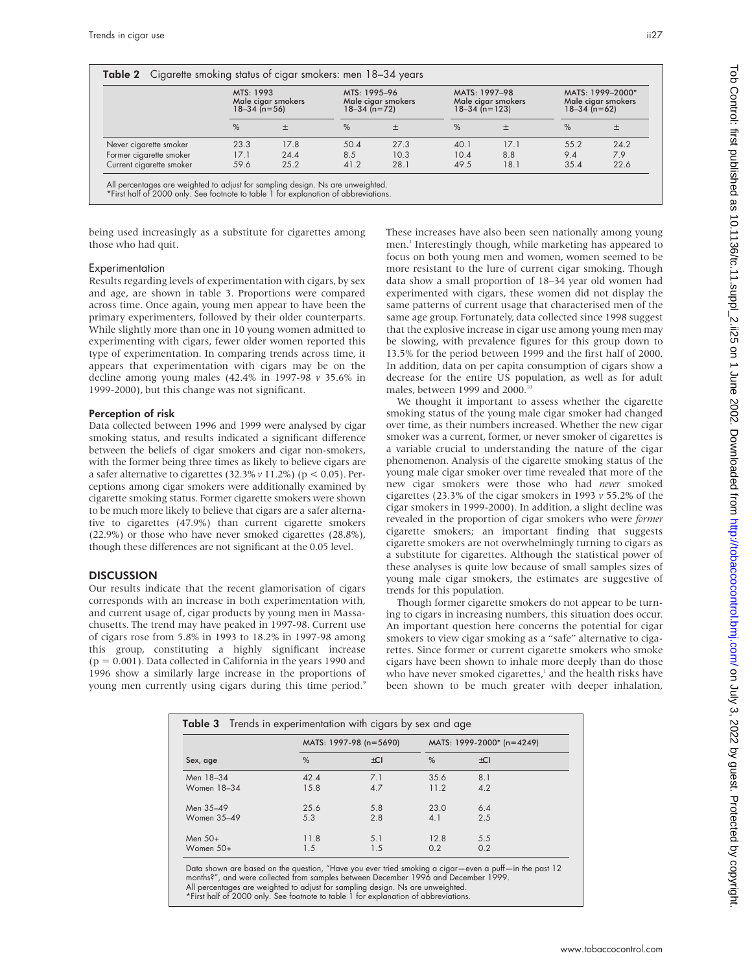|                          | MTS: 1993<br>Male cigar smokers<br>$18 - 34$ (n=56) |      | MTS: 1995-96<br>Male ciaar smokers<br>$18 - 34$ (n=72) |      | MATS: 1997-98<br>Male ciaar smokers<br>$18 - 34$ (n=123) |      | MATS: 1999-2000*<br>Male cigar smokers<br>$18 - 34$ (n=62) |      |
|--------------------------|-----------------------------------------------------|------|--------------------------------------------------------|------|----------------------------------------------------------|------|------------------------------------------------------------|------|
|                          | $\%$                                                |      | $\%$                                                   | 土    | $\%$                                                     |      | $\%$                                                       | 土    |
| Never cigarette smoker   | 23.3                                                | 17.8 | 50.4                                                   | 27.3 | 40.1                                                     | 17.1 | 55.2                                                       | 24.2 |
| Former cigarette smoker  | 17.1                                                | 24.4 | 8.5                                                    | 10.3 | 10.4                                                     | 8.8  | 9.4                                                        | 7.9  |
| Current cigarette smoker | 59.6                                                | 25.2 | 41.2                                                   | 28.1 | 49.5                                                     | 18.1 | 35.4                                                       | 22.6 |

All percentages are weighted to adjust for sampling design. Ns are unweighted. \*First half of 2000 only. See footnote to table 1 for explanation of abbreviations.

being used increasingly as a substitute for cigarettes among those who had quit.

#### Experimentation

Results regarding levels of experimentation with cigars, by sex and age, are shown in table 3. Proportions were compared across time. Once again, young men appear to have been the primary experimenters, followed by their older counterparts. While slightly more than one in 10 young women admitted to experimenting with cigars, fewer older women reported this type of experimentation. In comparing trends across time, it appears that experimentation with cigars may be on the decline among young males (42.4% in 1997-98 *v* 35.6% in 1999-2000), but this change was not significant.

#### Perception of risk

Data collected between 1996 and 1999 were analysed by cigar smoking status, and results indicated a significant difference between the beliefs of cigar smokers and cigar non-smokers, with the former being three times as likely to believe cigars are a safer alternative to cigarettes (32.3% *v* 11.2%) (p < 0.05). Perceptions among cigar smokers were additionally examined by cigarette smoking status. Former cigarette smokers were shown to be much more likely to believe that cigars are a safer alternative to cigarettes (47.9%) than current cigarette smokers (22.9%) or those who have never smoked cigarettes (28.8%), though these differences are not significant at the 0.05 level.

### **DISCUSSION**

Our results indicate that the recent glamorisation of cigars corresponds with an increase in both experimentation with, and current usage of, cigar products by young men in Massachusetts. The trend may have peaked in 1997-98. Current use of cigars rose from 5.8% in 1993 to 18.2% in 1997-98 among this group, constituting a highly significant increase (p = 0.001). Data collected in California in the years 1990 and 1996 show a similarly large increase in the proportions of young men currently using cigars during this time period.<sup>9</sup>

These increases have also been seen nationally among young men.<sup>1</sup> Interestingly though, while marketing has appeared to focus on both young men and women, women seemed to be more resistant to the lure of current cigar smoking. Though data show a small proportion of 18–34 year old women had experimented with cigars, these women did not display the same patterns of current usage that characterised men of the same age group. Fortunately, data collected since 1998 suggest that the explosive increase in cigar use among young men may be slowing, with prevalence figures for this group down to 13.5% for the period between 1999 and the first half of 2000. In addition, data on per capita consumption of cigars show a decrease for the entire US population, as well as for adult males, between 1999 and 2000.<sup>10</sup>

We thought it important to assess whether the cigarette smoking status of the young male cigar smoker had changed over time, as their numbers increased. Whether the new cigar smoker was a current, former, or never smoker of cigarettes is a variable crucial to understanding the nature of the cigar phenomenon. Analysis of the cigarette smoking status of the young male cigar smoker over time revealed that more of the new cigar smokers were those who had *never* smoked cigarettes (23.3% of the cigar smokers in 1993 *v* 55.2% of the cigar smokers in 1999-2000). In addition, a slight decline was revealed in the proportion of cigar smokers who were *former* cigarette smokers; an important finding that suggests cigarette smokers are not overwhelmingly turning to cigars as a substitute for cigarettes. Although the statistical power of these analyses is quite low because of small samples sizes of young male cigar smokers, the estimates are suggestive of trends for this population.

Though former cigarette smokers do not appear to be turning to cigars in increasing numbers, this situation does occur. An important question here concerns the potential for cigar smokers to view cigar smoking as a "safe" alternative to cigarettes. Since former or current cigarette smokers who smoke cigars have been shown to inhale more deeply than do those who have never smoked cigarettes, $1$  and the health risks have been shown to be much greater with deeper inhalation,

| <b>Table 3</b> Trends in experimentation with cigars by sex and age |      |                        |                           |     |  |  |  |  |
|---------------------------------------------------------------------|------|------------------------|---------------------------|-----|--|--|--|--|
|                                                                     |      | MATS: 1997-98 (n=5690) | MATS: 1999-2000* (n=4249) |     |  |  |  |  |
| Sex, age                                                            | $\%$ | ±CI                    | %                         | ±CI |  |  |  |  |
| Men 18-34                                                           | 42.4 | 7.1                    | 35.6                      | 8.1 |  |  |  |  |
| Women 18-34                                                         | 15.8 | 4.7                    | 11.2                      | 4.2 |  |  |  |  |
| Men 35-49                                                           | 25.6 | 5.8                    | 23.0                      | 6.4 |  |  |  |  |
| Women 35-49                                                         | 5.3  | 2.8                    | 4.1                       | 2.5 |  |  |  |  |
| Men 50+                                                             | 11.8 | 5.1                    | 12.8                      | 5.5 |  |  |  |  |
| Women $50+$                                                         | 1.5  | 1.5                    | 0.2                       | 0.2 |  |  |  |  |

Data shown are based on the question, "Have you ever tried smoking a cigar—even a puff—in the past 12 months?", and were collected from samples between December 1996 and December 1999. All percentages are weighted to adjust for sampling design. Ns are unweighted. \*First half of 2000 only. See footnote to table 1 for explanation of abbreviations.